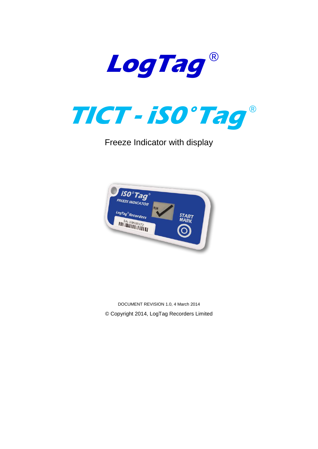



Freeze Indicator with display



DOCUMENT REVISION 1.0, 4 March 2014 © Copyright 2014, LogTag Recorders Limited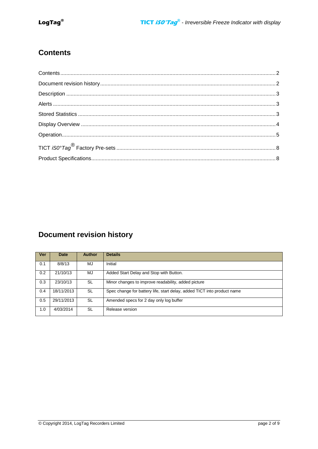## <span id="page-1-0"></span>**Contents**

# <span id="page-1-1"></span>**Document revision history**

| Ver | Date       | <b>Author</b> | <b>Details</b>                                                          |
|-----|------------|---------------|-------------------------------------------------------------------------|
| 0.1 | 8/8/13     | MJ            | Initial                                                                 |
| 0.2 | 21/10/13   | MJ            | Added Start Delay and Stop with Button.                                 |
| 0.3 | 23/10/13   | SL            | Minor changes to improve readability, added picture                     |
| 0.4 | 18/11/2013 | <b>SL</b>     | Spec change for battery life, start delay, added TICT into product name |
| 0.5 | 29/11/2013 | SL            | Amended specs for 2 day only log buffer                                 |
| 1.0 | 4/03/2014  | SL            | Release version                                                         |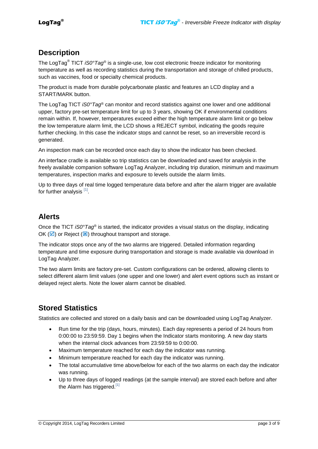### <span id="page-2-0"></span>**Description**

The LogTag<sup>®</sup> TICT *iS0°Tag®* is a single-use, low cost electronic freeze indicator for monitoring temperature as well as recording statistics during the transportation and storage of chilled products, such as vaccines, food or specialty chemical products.

The product is made from durable polycarbonate plastic and features an LCD display and a START/MARK button.

The LogTag TICT *iS0°Tag®* can monitor and record statistics against one lower and one additional upper, factory pre-set temperature limit for up to 3 years, showing OK if environmental conditions remain within. If, however, temperatures exceed either the high temperature alarm limit or go below the low temperature alarm limit, the LCD shows a REJECT symbol, indicating the goods require further checking. In this case the indicator stops and cannot be reset, so an irreversible record is generated.

An inspection mark can be recorded once each day to show the indicator has been checked.

An interface cradle is available so trip statistics can be downloaded and saved for analysis in the freely available companion software LogTag Analyzer, including trip duration, minimum and maximum temperatures, inspection marks and exposure to levels outside the alarm limits.

Up to three days of real time logged temperature data before and after the alarm trigger are available for further analysis<sup>[1]</sup>.

### <span id="page-2-1"></span>**Alerts**

Once the TICT *iS0°Tag®* is started, the indicator provides a visual status on the display, indicating OK ( $\boxtimes$ ) or Reject ( $\boxtimes$ ) throughout transport and storage.

The indicator stops once any of the two alarms are triggered. Detailed information regarding temperature and time exposure during transportation and storage is made available via download in LogTag Analyzer.

The two alarm limits are factory pre-set. Custom configurations can be ordered, allowing clients to select different alarm limit values (one upper and one lower) and alert event options such as instant or delayed reject alerts. Note the lower alarm cannot be disabled.

## <span id="page-2-2"></span>**Stored Statistics**

Statistics are collected and stored on a daily basis and can be downloaded using LogTag Analyzer.

- Run time for the trip (days, hours, minutes). Each day represents a period of 24 hours from 0:00:00 to 23:59:59. Day 1 begins when the Indicator starts monitoring. A new day starts when the internal clock advances from 23:59:59 to 0:00:00.
- Maximum temperature reached for each day the indicator was running.
- Minimum temperature reached for each day the indicator was running.
- The total accumulative time above/below for each of the two alarms on each day the indicator was running.
- Up to three days of logged readings (at the sample interval) are stored each before and after the Alarm has triggered.<sup>[1]</sup>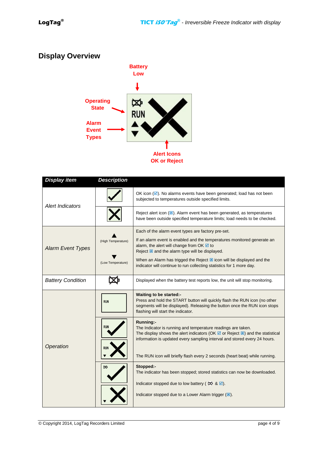## <span id="page-3-0"></span>**Display Overview**



**OK or Reject**

| Display item             | <b>Description</b>                      |                                                                                                                                                                                                                                                                                                                                                                                                             |
|--------------------------|-----------------------------------------|-------------------------------------------------------------------------------------------------------------------------------------------------------------------------------------------------------------------------------------------------------------------------------------------------------------------------------------------------------------------------------------------------------------|
| <b>Alert Indicators</b>  |                                         | OK icon $(\blacksquare)$ . No alarms events have been generated; load has not been<br>subjected to temperatures outside specified limits.                                                                                                                                                                                                                                                                   |
|                          |                                         | Reject alert icon $(\mathbb{Z})$ . Alarm event has been generated, as temperatures<br>have been outside specified temperature limits; load needs to be checked.                                                                                                                                                                                                                                             |
| <b>Alarm Event Types</b> | (High Temperature)<br>(Low Temperature) | Each of the alarm event types are factory pre-set.<br>If an alarm event is enabled and the temperatures monitored generate an<br>alarm, the alert will change from OK $\boxtimes$ to<br>Reject $\boxtimes$ and the alarm type will be displayed.<br>When an Alarm has trigged the Reject $\boxtimes$ icon will be displayed and the<br>indicator will continue to run collecting statistics for 1 more day. |
| <b>Battery Condition</b> |                                         | Displayed when the battery test reports low, the unit will stop monitoring.                                                                                                                                                                                                                                                                                                                                 |
|                          | <b>RUN</b>                              | Waiting to be started:-<br>Press and hold the START button will quickly flash the RUN icon (no other<br>segments will be displayed). Releasing the button once the RUN icon stops<br>flashing will start the indicator.                                                                                                                                                                                     |
| Operation                | run<br><b>RUN</b>                       | <b>Running:-</b><br>The Indicator is running and temperature readings are taken.<br>The display shows the alert indicators (OK $\boxtimes$ or Reject $\boxtimes$ ) and the statistical<br>information is updated every sampling interval and stored every 24 hours.<br>The RUN icon will briefly flash every 2 seconds (heart beat) while running.                                                          |
|                          | ᢘ                                       | Stopped:-<br>The indicator has been stopped; stored statistics can now be downloaded.<br>Indicator stopped due to low battery ( $\cancel{\bowtie}$ & $\boxed{\triangleleft}$ ).<br>Indicator stopped due to a Lower Alarm trigger $(E)$ .                                                                                                                                                                   |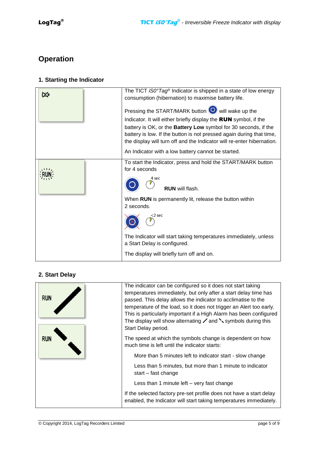# <span id="page-4-0"></span>**Operation**

### **1. Starting the Indicator**

| ∞ | The TICT $i$ SO°Tag® Indicator is shipped in a state of low energy<br>consumption (hibernation) to maximise battery life.                                                                                                                                                                                                                                                                               |
|---|---------------------------------------------------------------------------------------------------------------------------------------------------------------------------------------------------------------------------------------------------------------------------------------------------------------------------------------------------------------------------------------------------------|
|   | Pressing the START/MARK button O will wake up the<br>Indicator. It will either briefly display the RUN symbol, if the<br>battery is OK, or the <b>Battery Low</b> symbol for 30 seconds, if the<br>battery is low. If the button is not pressed again during that time,<br>the display will turn off and the Indicator will re-enter hibernation.<br>An Indicator with a low battery cannot be started. |
|   | To start the Indicator, press and hold the START/MARK button<br>for 4 seconds<br>4 sec<br>RUN will flash.                                                                                                                                                                                                                                                                                               |
|   | When RUN is permanently lit, release the button within<br>2 seconds.                                                                                                                                                                                                                                                                                                                                    |
|   | <2 sec                                                                                                                                                                                                                                                                                                                                                                                                  |
|   | The Indicator will start taking temperatures immediately, unless<br>a Start Delay is configured.                                                                                                                                                                                                                                                                                                        |
|   | The display will briefly turn off and on.                                                                                                                                                                                                                                                                                                                                                               |

### **2. Start Delay**

|            | The indicator can be configured so it does not start taking<br>temperatures immediately, but only after a start delay time has |
|------------|--------------------------------------------------------------------------------------------------------------------------------|
| <b>RUN</b> | passed. This delay allows the indicator to acclimatise to the                                                                  |
|            | temperature of the load, so it does not trigger an Alert too early.                                                            |
|            | This is particularly important if a High Alarm has been configured                                                             |
|            | The display will show alternating $\angle$ and $\sim$ symbols during this                                                      |
|            | Start Delay period.                                                                                                            |
| <b>RUN</b> | The speed at which the symbols change is dependent on how                                                                      |
|            | much time is left until the indicator starts:                                                                                  |
|            | More than 5 minutes left to indicator start - slow change                                                                      |
|            | Less than 5 minutes, but more than 1 minute to indicator                                                                       |
|            | start – fast change                                                                                                            |
|            | Less than 1 minute left – very fast change                                                                                     |
|            | If the selected factory pre-set profile does not have a start delay                                                            |
|            | enabled, the Indicator will start taking temperatures immediately.                                                             |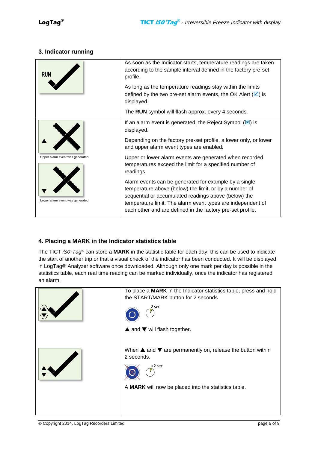#### **3. Indicator running**

| <b>RUN</b>                                                         | As soon as the Indicator starts, temperature readings are taken<br>according to the sample interval defined in the factory pre-set<br>profile.<br>As long as the temperature readings stay within the limits<br>defined by the two pre-set alarm events, the OK Alert $(\sqrt{2})$ is<br>displayed.<br>The RUN symbol will flash approx. every 4 seconds. |
|--------------------------------------------------------------------|-----------------------------------------------------------------------------------------------------------------------------------------------------------------------------------------------------------------------------------------------------------------------------------------------------------------------------------------------------------|
|                                                                    | If an alarm event is generated, the Reject Symbol $(\mathbf{X})$ is<br>displayed.<br>Depending on the factory pre-set profile, a lower only, or lower<br>and upper alarm event types are enabled.                                                                                                                                                         |
| Upper alarm event was generated<br>Lower alarm event was generated | Upper or lower alarm events are generated when recorded<br>temperatures exceed the limit for a specified number of<br>readings.                                                                                                                                                                                                                           |
|                                                                    | Alarm events can be generated for example by a single<br>temperature above (below) the limit, or by a number of<br>sequential or accumulated readings above (below) the<br>temperature limit. The alarm event types are independent of<br>each other and are defined in the factory pre-set profile.                                                      |

#### **4. Placing a MARK in the Indicator statistics table**

The TICT *iS0°Tag®* can store a **MARK** in the statistic table for each day; this can be used to indicate the start of another trip or that a visual check of the indicator has been conducted. It will be displayed in LogTag® Analyzer software once downloaded. Although only one mark per day is possible in the statistics table, each real time reading can be marked individually, once the indicator has registered an alarm.

| To place a MARK in the Indicator statistics table, press and hold<br>the START/MARK button for 2 seconds<br>2 sec |
|-------------------------------------------------------------------------------------------------------------------|
| $\blacktriangle$ and $\nabla$ will flash together.                                                                |
| When $\blacktriangle$ and $\nabla$ are permanently on, release the button within<br>2 seconds.<br>$<$ 2 sec       |
| A MARK will now be placed into the statistics table.                                                              |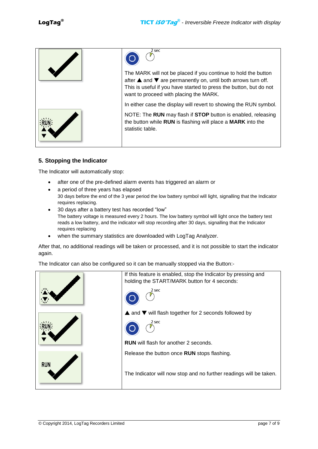| 2 sec<br>The MARK will not be placed if you continue to hold the button<br>after $\triangle$ and $\nabla$ are permanently on, until both arrows turn off.<br>This is useful if you have started to press the button, but do not<br>want to proceed with placing the MARK. |
|---------------------------------------------------------------------------------------------------------------------------------------------------------------------------------------------------------------------------------------------------------------------------|
| In either case the display will revert to showing the RUN symbol.                                                                                                                                                                                                         |
| NOTE: The RUN may flash if STOP button is enabled, releasing<br>the button while RUN is flashing will place a MARK into the<br>statistic table.                                                                                                                           |

#### **5. Stopping the Indicator**

The Indicator will automatically stop:

- after one of the pre-defined alarm events has triggered an alarm or
- a period of three years has elapsed 30 days before the end of the 3 year period the low battery symbol will light, signalling that the Indicator requires replacing.
- 30 days after a battery test has recorded "low" The battery voltage is measured every 2 hours. The low battery symbol will light once the battery test reads a low battery, and the indicator will stop recording after 30 days, signalling that the Indicator requires replacing
- when the summary statistics are downloaded with LogTag Analyzer.

After that, no additional readings will be taken or processed, and it is not possible to start the indicator again.

The Indicator can also be configured so it can be manually stopped via the Button:-

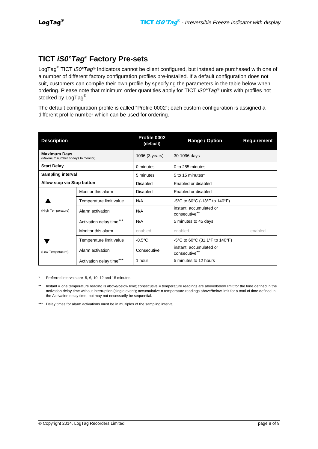## <span id="page-7-0"></span>**TICT** *iS0°Tag®* **Factory Pre-sets**

LogTag® TICT *iS0°Tag®* Indicators cannot be client configured, but instead are purchased with one of a number of different factory configuration profiles pre-installed. If a default configuration does not suit, customers can compile their own profile by specifying the parameters in the table below when ordering. Please note that minimum order quantities apply for TICT *iS0°Tag®* units with profiles not stocked by LogTag<sup>®</sup>.

The default configuration profile is called "Profile 0002"; each custom configuration is assigned a different profile number which can be used for ordering.

| <b>Description</b>                                         |                          | Profile 0002<br>(default) | <b>Range / Option</b>                    | <b>Requirement</b> |
|------------------------------------------------------------|--------------------------|---------------------------|------------------------------------------|--------------------|
| <b>Maximum Days</b><br>(Maximum number of days to monitor) |                          | 1096 (3 years)            | 30-1096 days                             |                    |
| <b>Start Delay</b>                                         |                          | 0 minutes                 | 0 to 255 minutes                         |                    |
| <b>Sampling interval</b>                                   |                          | 5 minutes                 | 5 to 15 minutes*                         |                    |
| Allow stop via Stop button                                 |                          | Disabled                  | Enabled or disabled                      |                    |
|                                                            | Monitor this alarm       | Disabled                  | Enabled or disabled                      |                    |
|                                                            | Temperature limit value  | N/A                       | -5°C to 60°C (-13°F to 140°F)            |                    |
| (High Temperature)                                         | Alarm activation         | N/A                       | instant, accumulated or<br>consecutive** |                    |
|                                                            | Activation delay time*** | N/A                       | 5 minutes to 45 days                     |                    |
|                                                            | Monitor this alarm       | enabled                   | enabled                                  | enabled            |
|                                                            | Temperature limit value  | $-0.5$ °C                 | -5°C to 60°C (31.1°F to 140°F)           |                    |
| (Low Temperature)                                          | Alarm activation         | Consecutive               | instant, accumulated or<br>consecutive** |                    |
|                                                            | Activation delay time    | 1 hour                    | 5 minutes to 12 hours                    |                    |

Preferred intervals are 5, 6, 10, 12 and 15 minutes

- \*\* Instant = one temperature reading is above/below limit; consecutive = temperature readings are above/below limit for the time defined in the activation delay time without interruption (single event); accumulative = temperature readings above/below limit for a total of time defined in the Activation delay time, but may not necessarily be sequential.
- <span id="page-7-1"></span>\*\*\* Delay times for alarm activations must be in multiples of the sampling interval.